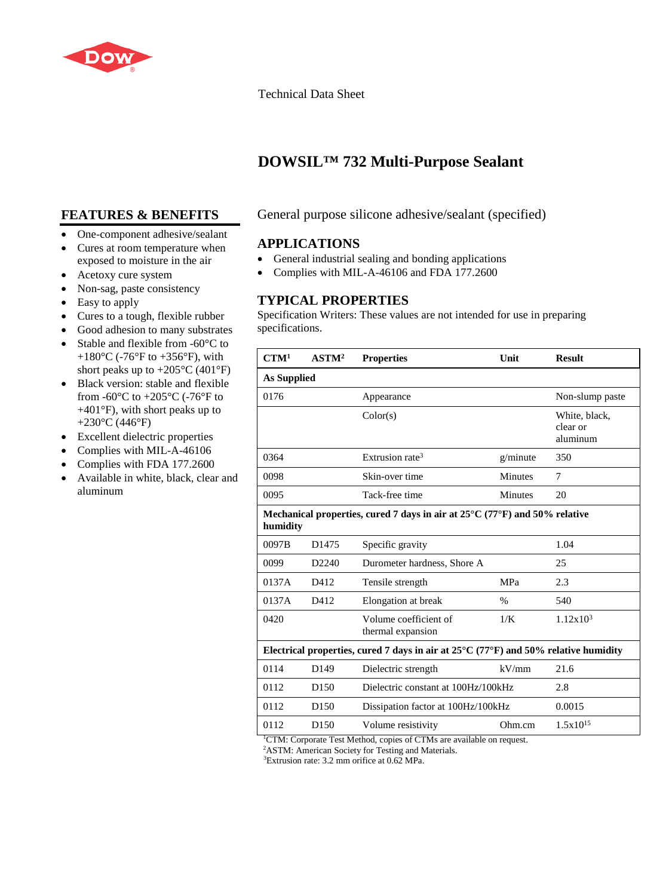

#### Technical Data Sheet

# **DOWSIL™ 732 Multi-Purpose Sealant**

### **FEATURES & BENEFITS**

- One-component adhesive/sealant
- Cures at room temperature when exposed to moisture in the air
- Acetoxy cure system
- Non-sag, paste consistency
- Easy to apply
- Cures to a tough, flexible rubber
- Good adhesion to many substrates
- Stable and flexible from -60°C to +180 $^{\circ}$ C (-76 $^{\circ}$ F to +356 $^{\circ}$ F), with short peaks up to  $+205^{\circ}$ C (401°F)
- Black version: stable and flexible from -60 $\rm{^{\circ}C}$  to +205 $\rm{^{\circ}C}$  (-76 $\rm{^{\circ}F}$  to +401°F), with short peaks up to +230°C (446°F)
- Excellent dielectric properties
- Complies with MIL-A-46106
- Complies with FDA 177.2600
- Available in white, black, clear and aluminum

#### General purpose silicone adhesive/sealant (specified)

#### **APPLICATIONS**

- General industrial sealing and bonding applications
- Complies with MIL-A-46106 and FDA 177.2600

#### **TYPICAL PROPERTIES**

Specification Writers: These values are not intended for use in preparing specifications.

| CTM <sup>1</sup>                                                                                 | ASTM <sup>2</sup> | <b>Properties</b>                                       | Unit           | <b>Result</b>                         |
|--------------------------------------------------------------------------------------------------|-------------------|---------------------------------------------------------|----------------|---------------------------------------|
| As Supplied                                                                                      |                   |                                                         |                |                                       |
| 0176                                                                                             |                   | Appearance                                              |                | Non-slump paste                       |
|                                                                                                  |                   | Color(s)                                                |                | White, black,<br>clear or<br>aluminum |
| 0364                                                                                             |                   | Extrusion rate <sup>3</sup>                             | g/minute       | 350                                   |
| 0098                                                                                             |                   | Skin-over time                                          | Minutes        | 7                                     |
| 0095                                                                                             |                   | Tack-free time                                          | <b>Minutes</b> | 20                                    |
| Mechanical properties, cured 7 days in air at $25^{\circ}$ C (77°F) and 50% relative<br>humidity |                   |                                                         |                |                                       |
| 0097B                                                                                            | D <sub>1475</sub> | Specific gravity                                        |                | 1.04                                  |
| 0099                                                                                             | D <sub>2240</sub> | Durometer hardness, Shore A                             |                | 25                                    |
| 0137A                                                                                            | D412              | Tensile strength                                        | MPa            | 2.3                                   |
| 0137A                                                                                            | D412              | Elongation at break                                     | $\%$           | 540                                   |
| 0420                                                                                             |                   | Volume coefficient of<br>thermal expansion              | 1/K            | 1.12x10 <sup>3</sup>                  |
| Electrical properties, cured 7 days in air at $25^{\circ}$ C (77°F) and 50% relative humidity    |                   |                                                         |                |                                       |
| 0114                                                                                             | D <sub>149</sub>  | Dielectric strength                                     | kV/mm          | 21.6                                  |
| 0112                                                                                             | D <sub>150</sub>  | Dielectric constant at 100Hz/100kHz                     | 2.8            |                                       |
| 0112                                                                                             | D <sub>150</sub>  | Dissipation factor at 100Hz/100kHz                      |                | 0.0015                                |
| 0112<br>$CII$ $CII$                                                                              | D <sub>150</sub>  | Volume resistivity<br>$M \times 1$ $M \times 1$<br>11.1 | Ohm.cm         | $1.5x10^{15}$                         |

<sup>1</sup>CTM: Corporate Test Method, copies of CTMs are available on request.

2 ASTM: American Society for Testing and Materials.

3 Extrusion rate: 3.2 mm orifice at 0.62 MPa.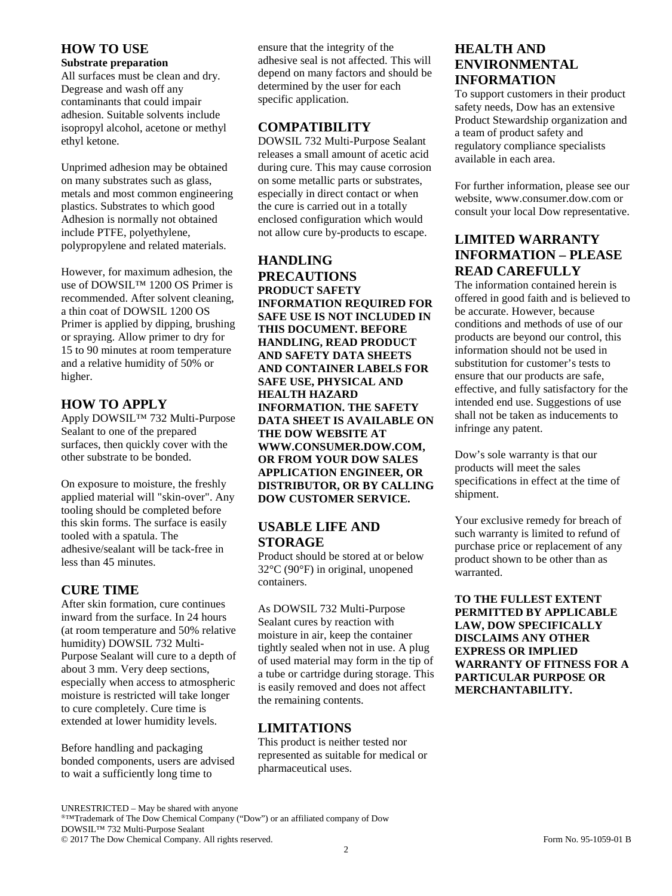#### **HOW TO USE**

#### **Substrate preparation**

All surfaces must be clean and dry. Degrease and wash off any contaminants that could impair adhesion. Suitable solvents include isopropyl alcohol, acetone or methyl ethyl ketone.

Unprimed adhesion may be obtained on many substrates such as glass, metals and most common engineering plastics. Substrates to which good Adhesion is normally not obtained include PTFE, polyethylene, polypropylene and related materials.

However, for maximum adhesion, the use of DOWSIL™ 1200 OS Primer is recommended. After solvent cleaning, a thin coat of DOWSIL 1200 OS Primer is applied by dipping, brushing or spraying. Allow primer to dry for 15 to 90 minutes at room temperature and a relative humidity of 50% or higher.

### **HOW TO APPLY**

Apply DOWSIL™ 732 Multi-Purpose Sealant to one of the prepared surfaces, then quickly cover with the other substrate to be bonded.

On exposure to moisture, the freshly applied material will "skin-over". Any tooling should be completed before this skin forms. The surface is easily tooled with a spatula. The adhesive/sealant will be tack-free in less than 45 minutes.

### **CURE TIME**

After skin formation, cure continues inward from the surface. In 24 hours (at room temperature and 50% relative humidity) DOWSIL 732 Multi-Purpose Sealant will cure to a depth of about 3 mm. Very deep sections, especially when access to atmospheric moisture is restricted will take longer to cure completely. Cure time is extended at lower humidity levels.

Before handling and packaging bonded components, users are advised to wait a sufficiently long time to

ensure that the integrity of the adhesive seal is not affected. This will depend on many factors and should be determined by the user for each specific application.

### **COMPATIBILITY**

DOWSIL 732 Multi-Purpose Sealant releases a small amount of acetic acid during cure. This may cause corrosion on some metallic parts or substrates, especially in direct contact or when the cure is carried out in a totally enclosed configuration which would not allow cure by-products to escape.

#### **HANDLING PRECAUTIONS PRODUCT SAFETY INFORMATION REQUIRED FOR SAFE USE IS NOT INCLUDED IN THIS DOCUMENT. BEFORE HANDLING, READ PRODUCT AND SAFETY DATA SHEETS AND CONTAINER LABELS FOR SAFE USE, PHYSICAL AND HEALTH HAZARD INFORMATION. THE SAFETY DATA SHEET IS AVAILABLE ON THE DOW WEBSITE AT WWW.CONSUMER.DOW.COM, OR FROM YOUR DOW SALES APPLICATION ENGINEER, OR DISTRIBUTOR, OR BY CALLING DOW CUSTOMER SERVICE.**

### **USABLE LIFE AND STORAGE**

Product should be stored at or below 32°C (90°F) in original, unopened containers.

As DOWSIL 732 Multi-Purpose Sealant cures by reaction with moisture in air, keep the container tightly sealed when not in use. A plug of used material may form in the tip of a tube or cartridge during storage. This is easily removed and does not affect the remaining contents.

## **LIMITATIONS**

This product is neither tested nor represented as suitable for medical or pharmaceutical uses.

### **HEALTH AND ENVIRONMENTAL INFORMATION**

To support customers in their product safety needs, Dow has an extensive Product Stewardship organization and a team of product safety and regulatory compliance specialists available in each area.

For further information, please see our website, www.consumer.dow.com or consult your local Dow representative.

### **LIMITED WARRANTY INFORMATION – PLEASE READ CAREFULLY**

The information contained herein is offered in good faith and is believed to be accurate. However, because conditions and methods of use of our products are beyond our control, this information should not be used in substitution for customer's tests to ensure that our products are safe, effective, and fully satisfactory for the intended end use. Suggestions of use shall not be taken as inducements to infringe any patent.

Dow's sole warranty is that our products will meet the sales specifications in effect at the time of shipment.

Your exclusive remedy for breach of such warranty is limited to refund of purchase price or replacement of any product shown to be other than as warranted.

**TO THE FULLEST EXTENT PERMITTED BY APPLICABLE LAW, DOW SPECIFICALLY DISCLAIMS ANY OTHER EXPRESS OR IMPLIED WARRANTY OF FITNESS FOR A PARTICULAR PURPOSE OR MERCHANTABILITY.**

© 2017 The Dow Chemical Company. All rights reserved. Form No. 95-1059-01 B

UNRESTRICTED – May be shared with anyone

<sup>®™</sup>Trademark of The Dow Chemical Company ("Dow") or an affiliated company of Dow DOWSIL™ 732 Multi-Purpose Sealant